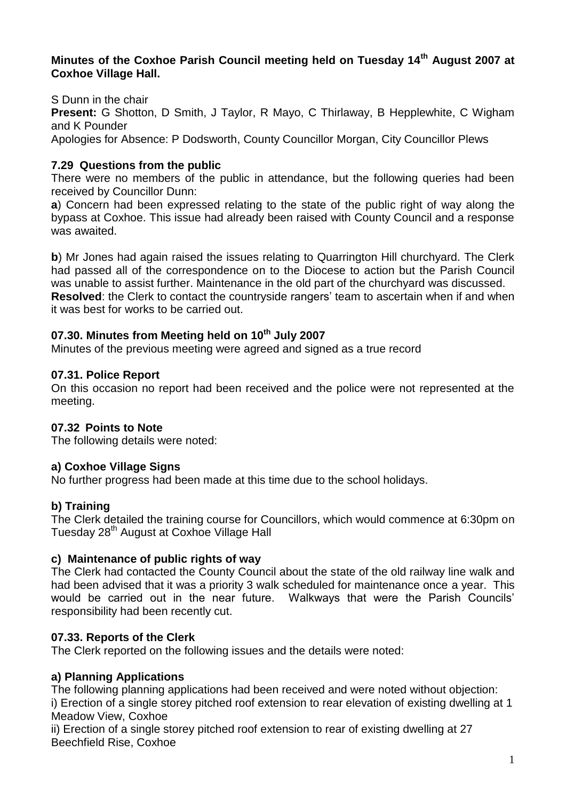### **Minutes of the Coxhoe Parish Council meeting held on Tuesday 14th August 2007 at Coxhoe Village Hall.**

S Dunn in the chair **Present:** G Shotton, D Smith, J Taylor, R Mayo, C Thirlaway, B Hepplewhite, C Wigham and K Pounder Apologies for Absence: P Dodsworth, County Councillor Morgan, City Councillor Plews

## **7.29 Questions from the public**

There were no members of the public in attendance, but the following queries had been received by Councillor Dunn:

**a**) Concern had been expressed relating to the state of the public right of way along the bypass at Coxhoe. This issue had already been raised with County Council and a response was awaited.

**b**) Mr Jones had again raised the issues relating to Quarrington Hill churchyard. The Clerk had passed all of the correspondence on to the Diocese to action but the Parish Council was unable to assist further. Maintenance in the old part of the churchyard was discussed. **Resolved**: the Clerk to contact the countryside rangers' team to ascertain when if and when it was best for works to be carried out.

### **07.30. Minutes from Meeting held on 10th July 2007**

Minutes of the previous meeting were agreed and signed as a true record

### **07.31. Police Report**

On this occasion no report had been received and the police were not represented at the meeting.

### **07.32 Points to Note**

The following details were noted:

#### **a) Coxhoe Village Signs**

No further progress had been made at this time due to the school holidays.

#### **b) Training**

The Clerk detailed the training course for Councillors, which would commence at 6:30pm on Tuesday 28<sup>th</sup> August at Coxhoe Village Hall

#### **c) Maintenance of public rights of way**

The Clerk had contacted the County Council about the state of the old railway line walk and had been advised that it was a priority 3 walk scheduled for maintenance once a year. This would be carried out in the near future. Walkways that were the Parish Councils' responsibility had been recently cut.

#### **07.33. Reports of the Clerk**

The Clerk reported on the following issues and the details were noted:

#### **a) Planning Applications**

The following planning applications had been received and were noted without objection:

i) Erection of a single storey pitched roof extension to rear elevation of existing dwelling at 1 Meadow View, Coxhoe

ii) Erection of a single storey pitched roof extension to rear of existing dwelling at 27 Beechfield Rise, Coxhoe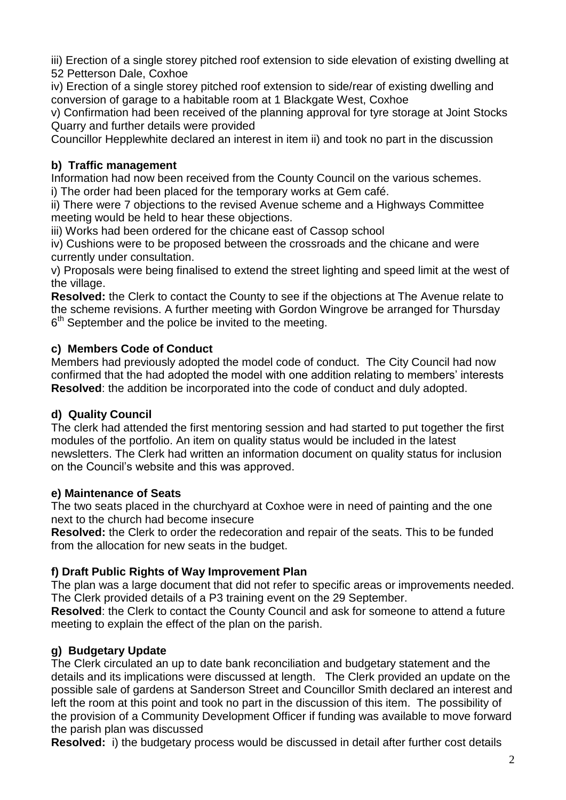iii) Erection of a single storey pitched roof extension to side elevation of existing dwelling at 52 Petterson Dale, Coxhoe

iv) Erection of a single storey pitched roof extension to side/rear of existing dwelling and conversion of garage to a habitable room at 1 Blackgate West, Coxhoe

v) Confirmation had been received of the planning approval for tyre storage at Joint Stocks Quarry and further details were provided

Councillor Hepplewhite declared an interest in item ii) and took no part in the discussion

# **b) Traffic management**

Information had now been received from the County Council on the various schemes.

i) The order had been placed for the temporary works at Gem café.

ii) There were 7 objections to the revised Avenue scheme and a Highways Committee meeting would be held to hear these objections.

iii) Works had been ordered for the chicane east of Cassop school

iv) Cushions were to be proposed between the crossroads and the chicane and were currently under consultation.

v) Proposals were being finalised to extend the street lighting and speed limit at the west of the village.

**Resolved:** the Clerk to contact the County to see if the objections at The Avenue relate to the scheme revisions. A further meeting with Gordon Wingrove be arranged for Thursday  $6<sup>th</sup>$  September and the police be invited to the meeting.

# **c) Members Code of Conduct**

Members had previously adopted the model code of conduct. The City Council had now confirmed that the had adopted the model with one addition relating to members' interests **Resolved**: the addition be incorporated into the code of conduct and duly adopted.

# **d) Quality Council**

The clerk had attended the first mentoring session and had started to put together the first modules of the portfolio. An item on quality status would be included in the latest newsletters. The Clerk had written an information document on quality status for inclusion on the Council's website and this was approved.

# **e) Maintenance of Seats**

The two seats placed in the churchyard at Coxhoe were in need of painting and the one next to the church had become insecure

**Resolved:** the Clerk to order the redecoration and repair of the seats. This to be funded from the allocation for new seats in the budget.

# **f) Draft Public Rights of Way Improvement Plan**

The plan was a large document that did not refer to specific areas or improvements needed. The Clerk provided details of a P3 training event on the 29 September.

**Resolved**: the Clerk to contact the County Council and ask for someone to attend a future meeting to explain the effect of the plan on the parish.

# **g) Budgetary Update**

The Clerk circulated an up to date bank reconciliation and budgetary statement and the details and its implications were discussed at length. The Clerk provided an update on the possible sale of gardens at Sanderson Street and Councillor Smith declared an interest and left the room at this point and took no part in the discussion of this item. The possibility of the provision of a Community Development Officer if funding was available to move forward the parish plan was discussed

**Resolved:** i) the budgetary process would be discussed in detail after further cost details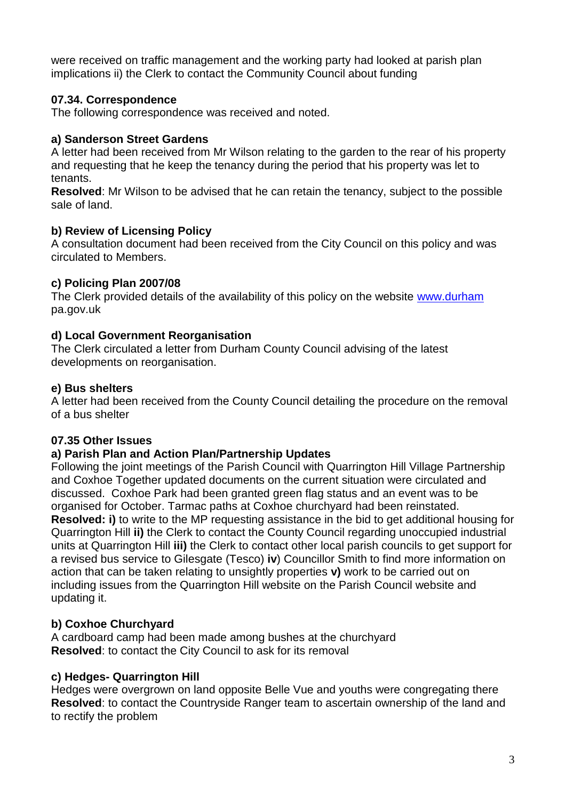were received on traffic management and the working party had looked at parish plan implications ii) the Clerk to contact the Community Council about funding

### **07.34. Correspondence**

The following correspondence was received and noted.

## **a) Sanderson Street Gardens**

A letter had been received from Mr Wilson relating to the garden to the rear of his property and requesting that he keep the tenancy during the period that his property was let to tenants.

**Resolved**: Mr Wilson to be advised that he can retain the tenancy, subject to the possible sale of land.

## **b) Review of Licensing Policy**

A consultation document had been received from the City Council on this policy and was circulated to Members.

# **c) Policing Plan 2007/08**

The Clerk provided details of the availability of this policy on the website [www.durham](http://www.durham/) pa.gov.uk

## **d) Local Government Reorganisation**

The Clerk circulated a letter from Durham County Council advising of the latest developments on reorganisation.

## **e) Bus shelters**

A letter had been received from the County Council detailing the procedure on the removal of a bus shelter

# **07.35 Other Issues**

### **a) Parish Plan and Action Plan/Partnership Updates**

Following the joint meetings of the Parish Council with Quarrington Hill Village Partnership and Coxhoe Together updated documents on the current situation were circulated and discussed. Coxhoe Park had been granted green flag status and an event was to be organised for October. Tarmac paths at Coxhoe churchyard had been reinstated.

**Resolved: i)** to write to the MP requesting assistance in the bid to get additional housing for Quarrington Hill **ii)** the Clerk to contact the County Council regarding unoccupied industrial units at Quarrington Hill **iii)** the Clerk to contact other local parish councils to get support for a revised bus service to Gilesgate (Tesco) **iv**) Councillor Smith to find more information on action that can be taken relating to unsightly properties **v)** work to be carried out on including issues from the Quarrington Hill website on the Parish Council website and updating it.

# **b) Coxhoe Churchyard**

A cardboard camp had been made among bushes at the churchyard **Resolved**: to contact the City Council to ask for its removal

# **c) Hedges- Quarrington Hill**

Hedges were overgrown on land opposite Belle Vue and youths were congregating there **Resolved**: to contact the Countryside Ranger team to ascertain ownership of the land and to rectify the problem